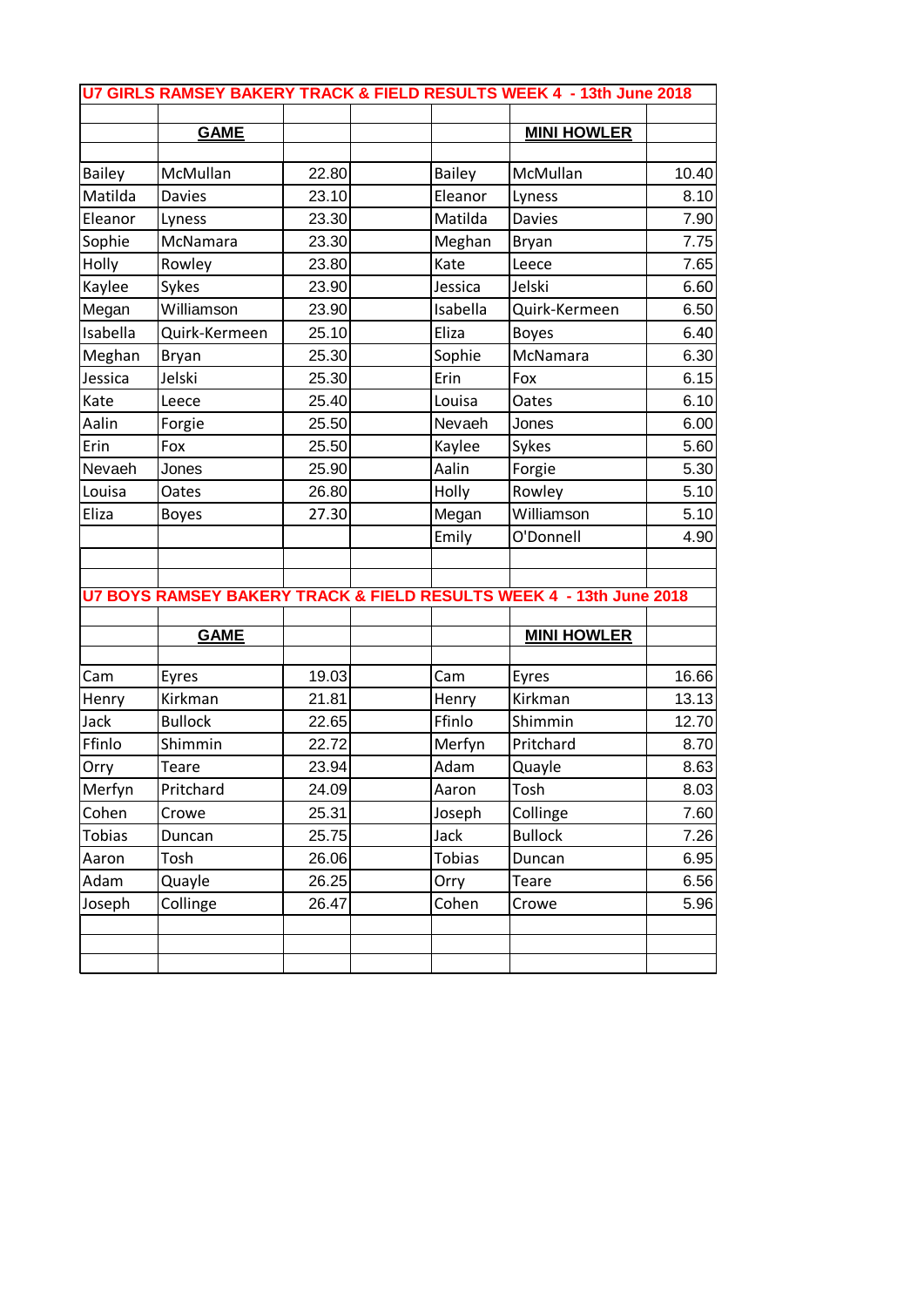| U7 GIRLS RAMSEY BAKERY TRACK & FIELD RESULTS WEEK 4 - 13th June 2018 |                                                                     |       |  |               |                    |       |  |  |
|----------------------------------------------------------------------|---------------------------------------------------------------------|-------|--|---------------|--------------------|-------|--|--|
|                                                                      |                                                                     |       |  |               |                    |       |  |  |
|                                                                      | <b>GAME</b>                                                         |       |  |               | <b>MINI HOWLER</b> |       |  |  |
| <b>Bailey</b>                                                        | McMullan                                                            | 22.80 |  | <b>Bailey</b> | McMullan           | 10.40 |  |  |
| Matilda                                                              | <b>Davies</b>                                                       | 23.10 |  | Eleanor       | Lyness             | 8.10  |  |  |
| Eleanor                                                              | Lyness                                                              | 23.30 |  | Matilda       | <b>Davies</b>      | 7.90  |  |  |
| Sophie                                                               | McNamara                                                            | 23.30 |  | Meghan        | <b>Bryan</b>       | 7.75  |  |  |
| Holly                                                                | Rowley                                                              | 23.80 |  | Kate          | Leece              | 7.65  |  |  |
| Kaylee                                                               | Sykes                                                               | 23.90 |  | Jessica       | Jelski             | 6.60  |  |  |
| Megan                                                                | Williamson                                                          | 23.90 |  | Isabella      | Quirk-Kermeen      | 6.50  |  |  |
| Isabella                                                             | Quirk-Kermeen                                                       | 25.10 |  | Eliza         | <b>Boyes</b>       | 6.40  |  |  |
| Meghan                                                               | Bryan                                                               | 25.30 |  | Sophie        | McNamara           | 6.30  |  |  |
| Jessica                                                              | Jelski                                                              | 25.30 |  | Erin          | Fox                | 6.15  |  |  |
| Kate                                                                 | Leece                                                               | 25.40 |  | Louisa        | Oates              | 6.10  |  |  |
| Aalin                                                                | Forgie                                                              | 25.50 |  | Nevaeh        | Jones              | 6.00  |  |  |
| Erin                                                                 | Fox                                                                 | 25.50 |  | Kaylee        | Sykes              | 5.60  |  |  |
| Nevaeh                                                               | Jones                                                               | 25.90 |  | Aalin         | Forgie             | 5.30  |  |  |
| Louisa                                                               | Oates                                                               | 26.80 |  | Holly         | Rowley             | 5.10  |  |  |
| Eliza                                                                | <b>Boyes</b>                                                        | 27.30 |  | Megan         | Williamson         | 5.10  |  |  |
|                                                                      |                                                                     |       |  | Emily         | O'Donnell          | 4.90  |  |  |
|                                                                      |                                                                     |       |  |               |                    |       |  |  |
|                                                                      |                                                                     |       |  |               |                    |       |  |  |
|                                                                      | U7 BOYS RAMSEY BAKERY TRACK & FIELD RESULTS WEEK 4 - 13th June 2018 |       |  |               |                    |       |  |  |
|                                                                      | <b>GAME</b>                                                         |       |  |               | <b>MINI HOWLER</b> |       |  |  |
|                                                                      |                                                                     |       |  |               |                    |       |  |  |
| Cam                                                                  | Eyres                                                               | 19.03 |  | Cam           | Eyres              | 16.66 |  |  |
| Henry                                                                | Kirkman                                                             | 21.81 |  | Henry         | Kirkman            | 13.13 |  |  |
| Jack                                                                 | <b>Bullock</b>                                                      | 22.65 |  | Ffinlo        | Shimmin            | 12.70 |  |  |
| Ffinlo                                                               | Shimmin                                                             | 22.72 |  | Merfyn        | Pritchard          | 8.70  |  |  |
| Orry                                                                 | Teare                                                               | 23.94 |  | Adam          | Quayle             | 8.63  |  |  |
| Merfyn                                                               | Pritchard                                                           | 24.09 |  | Aaron         | Tosh               | 8.03  |  |  |
| Cohen                                                                | Crowe                                                               | 25.31 |  | Joseph        | Collinge           | 7.60  |  |  |
| <b>Tobias</b>                                                        | Duncan                                                              | 25.75 |  | Jack          | <b>Bullock</b>     | 7.26  |  |  |
| Aaron                                                                | Tosh                                                                | 26.06 |  | <b>Tobias</b> | Duncan             | 6.95  |  |  |
| Adam                                                                 | Quayle                                                              | 26.25 |  | Orry          | <b>Teare</b>       | 6.56  |  |  |
| Joseph                                                               | Collinge                                                            | 26.47 |  | Cohen         | Crowe              | 5.96  |  |  |
|                                                                      |                                                                     |       |  |               |                    |       |  |  |
|                                                                      |                                                                     |       |  |               |                    |       |  |  |
|                                                                      |                                                                     |       |  |               |                    |       |  |  |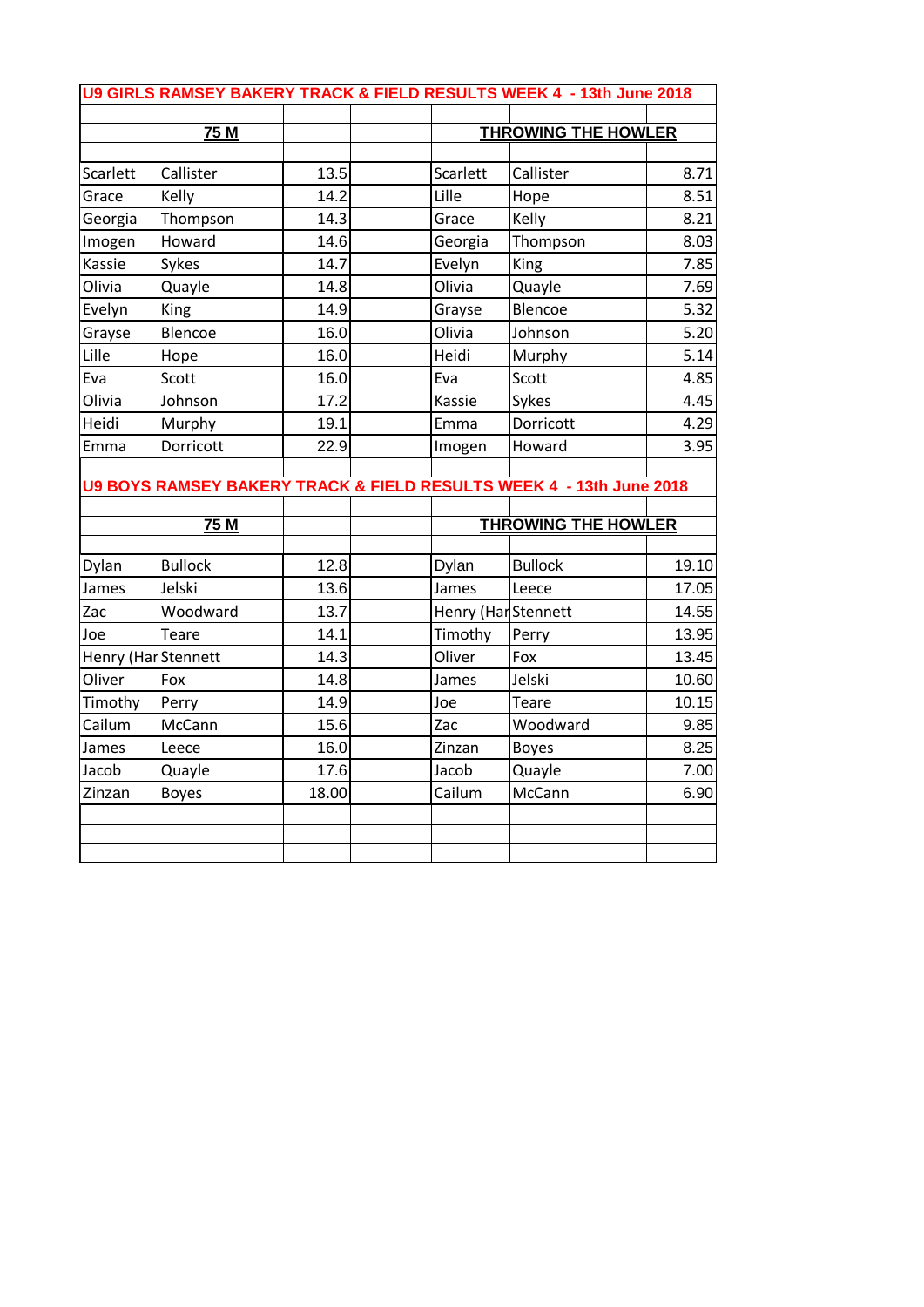|          | 75M                                                                              |       |                     | <b>THROWING THE HOWLER</b> |                                                           |  |
|----------|----------------------------------------------------------------------------------|-------|---------------------|----------------------------|-----------------------------------------------------------|--|
|          |                                                                                  |       |                     |                            |                                                           |  |
| Scarlett | Callister                                                                        | 13.5  | Scarlett            | Callister                  | 8.71                                                      |  |
| Grace    | Kelly                                                                            | 14.2  | Lille               | Hope                       | 8.51                                                      |  |
| Georgia  | Thompson                                                                         | 14.3  | Grace               | Kelly                      | 8.21                                                      |  |
| Imogen   | Howard                                                                           | 14.6  | Georgia             | Thompson                   | 8.03                                                      |  |
| Kassie   | Sykes                                                                            | 14.7  | Evelyn              | King                       | 7.85                                                      |  |
| Olivia   | Quayle                                                                           | 14.8  | Olivia              | Quayle                     | 7.69                                                      |  |
| Evelyn   | King                                                                             | 14.9  | Grayse              | Blencoe                    | 5.32                                                      |  |
| Grayse   | Blencoe                                                                          | 16.0  | Olivia              | Johnson                    | 5.20                                                      |  |
| Lille    | Hope                                                                             | 16.0  | Heidi               | Murphy                     | 5.14                                                      |  |
| Eva      | Scott                                                                            | 16.0  | Eva                 | Scott                      | 4.85                                                      |  |
|          | Johnson                                                                          | 17.2  | Kassie              | Sykes                      | 4.45                                                      |  |
| Olivia   |                                                                                  |       |                     |                            |                                                           |  |
| Heidi    | Murphy                                                                           | 19.1  | Emma                | Dorricott                  |                                                           |  |
|          | Dorricott<br>U9 BOYS RAMSEY BAKERY TRACK & FIELD RESULTS WEEK 4 - 13th June 2018 | 22.9  | Imogen              | Howard                     |                                                           |  |
| Emma     | 75 M                                                                             |       |                     | <b>THROWING THE HOWLER</b> |                                                           |  |
|          |                                                                                  |       |                     |                            |                                                           |  |
| Dylan    | <b>Bullock</b>                                                                   | 12.8  | Dylan               | <b>Bullock</b>             |                                                           |  |
| James    | Jelski                                                                           | 13.6  | James               | Leece                      |                                                           |  |
| Zac      | Woodward                                                                         | 13.7  | Henry (Har Stennett |                            |                                                           |  |
| Joe      | Teare                                                                            | 14.1  | Timothy             | Perry                      |                                                           |  |
|          | Henry (Har Stennett                                                              | 14.3  | Oliver              | Fox                        | 4.29<br>3.95<br>19.10<br>17.05<br>14.55<br>13.95<br>13.45 |  |
| Oliver   | Fox                                                                              | 14.8  | James               | Jelski                     |                                                           |  |
| Timothy  | Perry                                                                            | 14.9  | Joe                 | Teare                      |                                                           |  |
| Cailum   | McCann                                                                           | 15.6  | Zac                 | Woodward                   |                                                           |  |
| James    | Leece                                                                            | 16.0  | Zinzan              | <b>Boyes</b>               |                                                           |  |
| Jacob    | Quayle                                                                           | 17.6  | Jacob               | Quayle                     |                                                           |  |
| Zinzan   | <b>Boyes</b>                                                                     | 18.00 | Cailum              | McCann                     | 10.60<br>10.15<br>9.85<br>8.25<br>7.00<br>6.90            |  |